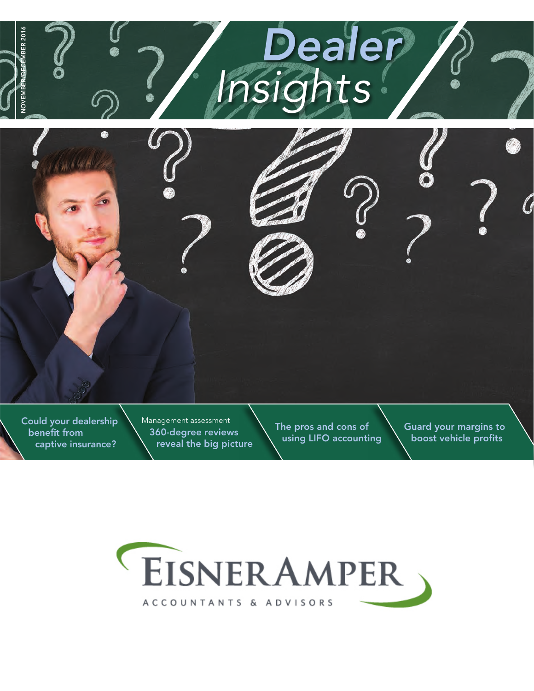

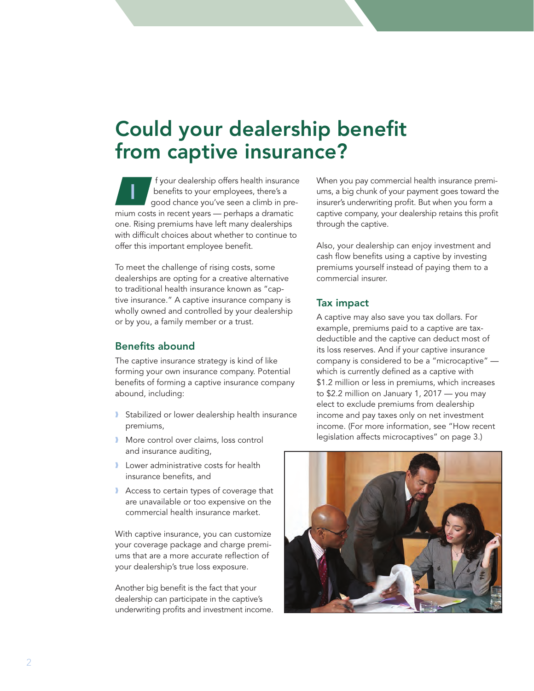## Could your dealership benefit from captive insurance?

f your dealership offers health insurance benefits to your employees, there's a good chance you've seen a climb in premium costs in recent years — perhaps a dramatic one. Rising premiums have left many dealerships with difficult choices about whether to continue to offer this important employee benefit. I

To meet the challenge of rising costs, some dealerships are opting for a creative alternative to traditional health insurance known as "captive insurance." A captive insurance company is wholly owned and controlled by your dealership or by you, a family member or a trust.

#### Benefits abound

The captive insurance strategy is kind of like forming your own insurance company. Potential benefits of forming a captive insurance company abound, including:

- ❱ Stabilized or lower dealership health insurance premiums,
- **I** More control over claims, loss control and insurance auditing,
- **I** Lower administrative costs for health insurance benefits, and
- Access to certain types of coverage that are unavailable or too expensive on the commercial health insurance market.

With captive insurance, you can customize your coverage package and charge premiums that are a more accurate reflection of your dealership's true loss exposure.

Another big benefit is the fact that your dealership can participate in the captive's underwriting profits and investment income. When you pay commercial health insurance premiums, a big chunk of your payment goes toward the insurer's underwriting profit. But when you form a captive company, your dealership retains this profit through the captive.

Also, your dealership can enjoy investment and cash flow benefits using a captive by investing premiums yourself instead of paying them to a commercial insurer.

#### Tax impact

A captive may also save you tax dollars. For example, premiums paid to a captive are taxdeductible and the captive can deduct most of its loss reserves. And if your captive insurance company is considered to be a "microcaptive" which is currently defined as a captive with \$1.2 million or less in premiums, which increases to \$2.2 million on January 1, 2017 — you may elect to exclude premiums from dealership income and pay taxes only on net investment income. (For more information, see "How recent legislation affects microcaptives" on page 3.)

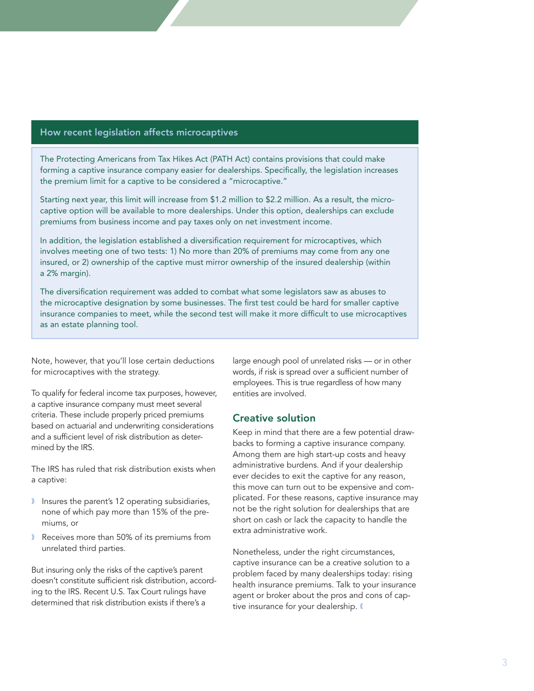#### How recent legislation affects microcaptives

The Protecting Americans from Tax Hikes Act (PATH Act) contains provisions that could make forming a captive insurance company easier for dealerships. Specifically, the legislation increases the premium limit for a captive to be considered a "microcaptive."

Starting next year, this limit will increase from \$1.2 million to \$2.2 million. As a result, the microcaptive option will be available to more dealerships. Under this option, dealerships can exclude premiums from business income and pay taxes only on net investment income.

In addition, the legislation established a diversification requirement for microcaptives, which involves meeting one of two tests: 1) No more than 20% of premiums may come from any one insured, or 2) ownership of the captive must mirror ownership of the insured dealership (within a 2% margin).

The diversification requirement was added to combat what some legislators saw as abuses to the microcaptive designation by some businesses. The first test could be hard for smaller captive insurance companies to meet, while the second test will make it more difficult to use microcaptives as an estate planning tool.

Note, however, that you'll lose certain deductions for microcaptives with the strategy.

To qualify for federal income tax purposes, however, a captive insurance company must meet several criteria. These include properly priced premiums based on actuarial and underwriting considerations and a sufficient level of risk distribution as determined by the IRS.

The IRS has ruled that risk distribution exists when a captive:

- I Insures the parent's 12 operating subsidiaries, none of which pay more than 15% of the premiums, or
- Receives more than 50% of its premiums from unrelated third parties.

But insuring only the risks of the captive's parent doesn't constitute sufficient risk distribution, according to the IRS. Recent U.S. Tax Court rulings have determined that risk distribution exists if there's a

large enough pool of unrelated risks — or in other words, if risk is spread over a sufficient number of employees. This is true regardless of how many entities are involved.

#### Creative solution

Keep in mind that there are a few potential drawbacks to forming a captive insurance company. Among them are high start-up costs and heavy administrative burdens. And if your dealership ever decides to exit the captive for any reason, this move can turn out to be expensive and complicated. For these reasons, captive insurance may not be the right solution for dealerships that are short on cash or lack the capacity to handle the extra administrative work.

Nonetheless, under the right circumstances, captive insurance can be a creative solution to a problem faced by many dealerships today: rising health insurance premiums. Talk to your insurance agent or broker about the pros and cons of captive insurance for your dealership.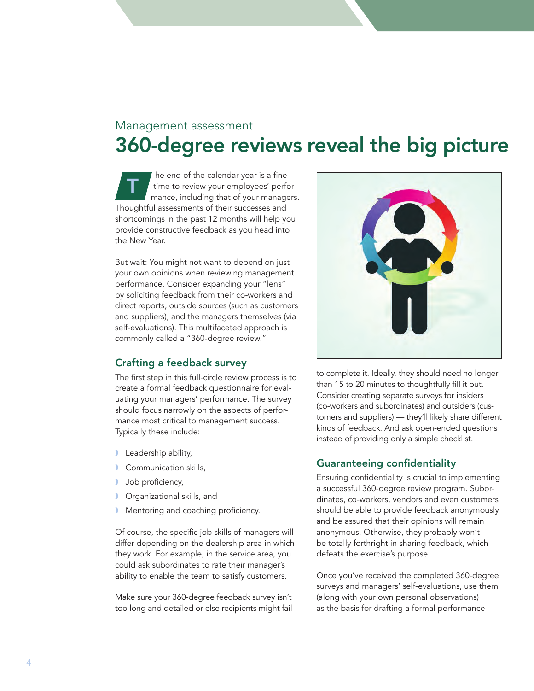### Management assessment 360-degree reviews reveal the big picture

he end of the calendar year is a fine time to review your employees' performance, including that of your managers. Thoughtful assessments of their successes and shortcomings in the past 12 months will help you provide constructive feedback as you head into the New Year. T

But wait: You might not want to depend on just your own opinions when reviewing management performance. Consider expanding your "lens" by soliciting feedback from their co-workers and direct reports, outside sources (such as customers and suppliers), and the managers themselves (via self-evaluations). This multifaceted approach is commonly called a "360-degree review."

#### Crafting a feedback survey

The first step in this full-circle review process is to create a formal feedback questionnaire for evaluating your managers' performance. The survey should focus narrowly on the aspects of performance most critical to management success. Typically these include:

- **I** Leadership ability,
- ❱ Communication skills,
- **Job proficiency,**
- ❱ Organizational skills, and
- **I** Mentoring and coaching proficiency.

Of course, the specific job skills of managers will differ depending on the dealership area in which they work. For example, in the service area, you could ask subordinates to rate their manager's ability to enable the team to satisfy customers.

Make sure your 360-degree feedback survey isn't too long and detailed or else recipients might fail



to complete it. Ideally, they should need no longer than 15 to 20 minutes to thoughtfully fill it out. Consider creating separate surveys for insiders (co-workers and subordinates) and outsiders (customers and suppliers) — they'll likely share different kinds of feedback. And ask open-ended questions instead of providing only a simple checklist.

#### Guaranteeing confidentiality

Ensuring confidentiality is crucial to implementing a successful 360-degree review program. Subordinates, co-workers, vendors and even customers should be able to provide feedback anonymously and be assured that their opinions will remain anonymous. Otherwise, they probably won't be totally forthright in sharing feedback, which defeats the exercise's purpose.

Once you've received the completed 360-degree surveys and managers' self-evaluations, use them (along with your own personal observations) as the basis for drafting a formal performance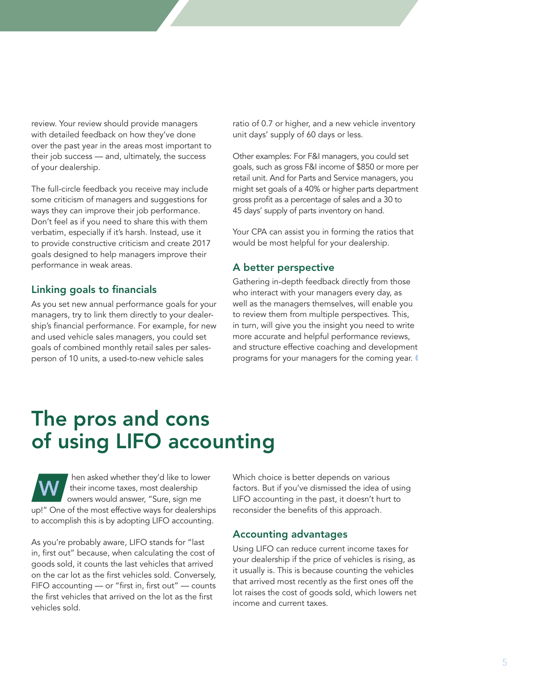review. Your review should provide managers with detailed feedback on how they've done over the past year in the areas most important to their job success — and, ultimately, the success of your dealership.

The full-circle feedback you receive may include some criticism of managers and suggestions for ways they can improve their job performance. Don't feel as if you need to share this with them verbatim, especially if it's harsh. Instead, use it to provide constructive criticism and create 2017 goals designed to help managers improve their performance in weak areas.

#### Linking goals to financials

As you set new annual performance goals for your managers, try to link them directly to your dealership's financial performance. For example, for new and used vehicle sales managers, you could set goals of combined monthly retail sales per salesperson of 10 units, a used-to-new vehicle sales

ratio of 0.7 or higher, and a new vehicle inventory unit days' supply of 60 days or less.

Other examples: For F&I managers, you could set goals, such as gross F&I income of \$850 or more per retail unit. And for Parts and Service managers, you might set goals of a 40% or higher parts department gross profit as a percentage of sales and a 30 to 45 days' supply of parts inventory on hand.

Your CPA can assist you in forming the ratios that would be most helpful for your dealership.

#### A better perspective

Gathering in-depth feedback directly from those who interact with your managers every day, as well as the managers themselves, will enable you to review them from multiple perspectives. This, in turn, will give you the insight you need to write more accurate and helpful performance reviews, and structure effective coaching and development programs for your managers for the coming year.

### The pros and cons of using LIFO accounting

hen asked whether they'd like to lower their income taxes, most dealership owners would answer, "Sure, sign me up!" One of the most effective ways for dealerships to accomplish this is by adopting LIFO accounting. W

As you're probably aware, LIFO stands for "last in, first out" because, when calculating the cost of goods sold, it counts the last vehicles that arrived on the car lot as the first vehicles sold. Conversely, FIFO accounting — or "first in, first out" — counts the first vehicles that arrived on the lot as the first vehicles sold.

Which choice is better depends on various factors. But if you've dismissed the idea of using LIFO accounting in the past, it doesn't hurt to reconsider the benefits of this approach.

#### Accounting advantages

Using LIFO can reduce current income taxes for your dealership if the price of vehicles is rising, as it usually is. This is because counting the vehicles that arrived most recently as the first ones off the lot raises the cost of goods sold, which lowers net income and current taxes.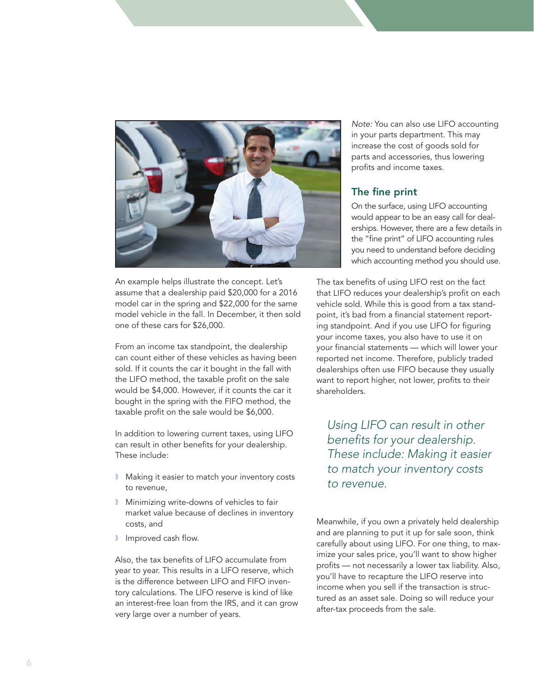

An example helps illustrate the concept. Let's assume that a dealership paid \$20,000 for a 2016 model car in the spring and \$22,000 for the same model vehicle in the fall. In December, it then sold one of these cars for \$26,000.

From an income tax standpoint, the dealership can count either of these vehicles as having been sold. If it counts the car it bought in the fall with the LIFO method, the taxable profit on the sale would be \$4,000. However, if it counts the car it bought in the spring with the FIFO method, the taxable profit on the sale would be \$6,000.

In addition to lowering current taxes, using LIFO can result in other benefits for your dealership. These include:

- **I** Making it easier to match your inventory costs to revenue,
- **I** Minimizing write-downs of vehicles to fair market value because of declines in inventory costs, and
- **I** Improved cash flow.

Also, the tax benefits of LIFO accumulate from year to year. This results in a LIFO reserve, which is the difference between LIFO and FIFO inventory calculations. The LIFO reserve is kind of like an interest-free loan from the IRS, and it can grow very large over a number of years.

*Note:* You can also use LIFO accounting in your parts department. This may increase the cost of goods sold for parts and accessories, thus lowering profits and income taxes.

#### The fine print

On the surface, using LIFO accounting would appear to be an easy call for dealerships. However, there are a few details in the "fine print" of LIFO accounting rules you need to understand before deciding which accounting method you should use.

The tax benefits of using LIFO rest on the fact that LIFO reduces your dealership's profit on each vehicle sold. While this is good from a tax standpoint, it's bad from a financial statement reporting standpoint. And if you use LIFO for figuring your income taxes, you also have to use it on your financial statements — which will lower your reported net income. Therefore, publicly traded dealerships often use FIFO because they usually want to report higher, not lower, profits to their shareholders.

*Using LIFO can result in other benefits for your dealership. These include: Making it easier to match your inventory costs to revenue.*

Meanwhile, if you own a privately held dealership and are planning to put it up for sale soon, think carefully about using LIFO. For one thing, to maximize your sales price, you'll want to show higher profits — not necessarily a lower tax liability. Also, you'll have to recapture the LIFO reserve into income when you sell if the transaction is structured as an asset sale. Doing so will reduce your after-tax proceeds from the sale.